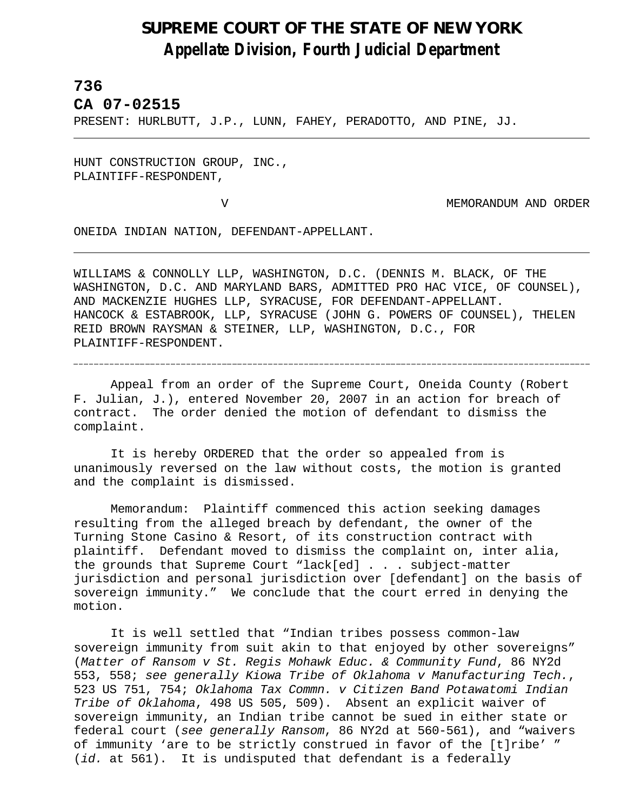## **SUPREME COURT OF THE STATE OF NEW YORK** *Appellate Division, Fourth Judicial Department*

## **736**

l,

**CA 07-02515** 

PRESENT: HURLBUTT, J.P., LUNN, FAHEY, PERADOTTO, AND PINE, JJ.

HUNT CONSTRUCTION GROUP, INC., PLAINTIFF-RESPONDENT,

V MEMORANDUM AND ORDER

ONEIDA INDIAN NATION, DEFENDANT-APPELLANT.

WILLIAMS & CONNOLLY LLP, WASHINGTON, D.C. (DENNIS M. BLACK, OF THE WASHINGTON, D.C. AND MARYLAND BARS, ADMITTED PRO HAC VICE, OF COUNSEL), AND MACKENZIE HUGHES LLP, SYRACUSE, FOR DEFENDANT-APPELLANT. HANCOCK & ESTABROOK, LLP, SYRACUSE (JOHN G. POWERS OF COUNSEL), THELEN REID BROWN RAYSMAN & STEINER, LLP, WASHINGTON, D.C., FOR PLAINTIFF-RESPONDENT.

Appeal from an order of the Supreme Court, Oneida County (Robert F. Julian, J.), entered November 20, 2007 in an action for breach of contract. The order denied the motion of defendant to dismiss the complaint.

It is hereby ORDERED that the order so appealed from is unanimously reversed on the law without costs, the motion is granted and the complaint is dismissed.

Memorandum: Plaintiff commenced this action seeking damages resulting from the alleged breach by defendant, the owner of the Turning Stone Casino & Resort, of its construction contract with plaintiff. Defendant moved to dismiss the complaint on, inter alia, the grounds that Supreme Court "lack[ed] . . . subject-matter jurisdiction and personal jurisdiction over [defendant] on the basis of sovereign immunity."We conclude that the court erred in denying the motion.

It is well settled that "Indian tribes possess common-law sovereign immunity from suit akin to that enjoyed by other sovereigns" (*Matter of Ransom v St. Regis Mohawk Educ. & Community Fund*, 86 NY2d 553, 558; *see generally Kiowa Tribe of Oklahoma v Manufacturing Tech.*, 523 US 751, 754; *Oklahoma Tax Commn. v Citizen Band Potawatomi Indian Tribe of Oklahoma*, 498 US 505, 509). Absent an explicit waiver of sovereign immunity, an Indian tribe cannot be sued in either state or federal court (*see generally Ransom*, 86 NY2d at 560-561), and "waivers of immunity 'are to be strictly construed in favor of the [t]ribe' " (*id.* at 561). It is undisputed that defendant is a federally